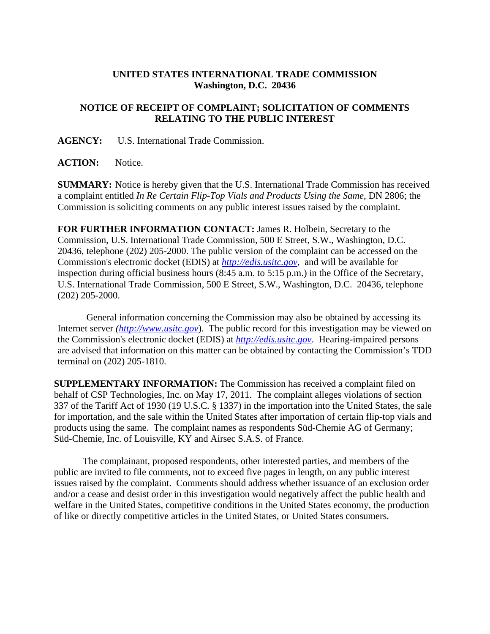## **UNITED STATES INTERNATIONAL TRADE COMMISSION Washington, D.C. 20436**

## **NOTICE OF RECEIPT OF COMPLAINT; SOLICITATION OF COMMENTS RELATING TO THE PUBLIC INTEREST**

**AGENCY:** U.S. International Trade Commission.

**ACTION:** Notice.

**SUMMARY:** Notice is hereby given that the U.S. International Trade Commission has received a complaint entitled *In Re Certain Flip-Top Vials and Products Using the Same*, DN 2806; the Commission is soliciting comments on any public interest issues raised by the complaint.

**FOR FURTHER INFORMATION CONTACT:** James R. Holbein, Secretary to the Commission, U.S. International Trade Commission, 500 E Street, S.W., Washington, D.C. 20436, telephone (202) 205-2000. The public version of the complaint can be accessed on the Commission's electronic docket (EDIS) at *http://edis.usitc.gov*,and will be available for inspection during official business hours (8:45 a.m. to 5:15 p.m.) in the Office of the Secretary, U.S. International Trade Commission, 500 E Street, S.W., Washington, D.C. 20436, telephone (202) 205-2000.

General information concerning the Commission may also be obtained by accessing its Internet server *(http://www.usitc.gov*). The public record for this investigation may be viewed on the Commission's electronic docket (EDIS) at *http://edis.usitc.gov*. Hearing-impaired persons are advised that information on this matter can be obtained by contacting the Commission's TDD terminal on (202) 205-1810.

**SUPPLEMENTARY INFORMATION:** The Commission has received a complaint filed on behalf of CSP Technologies, Inc. on May 17, 2011. The complaint alleges violations of section 337 of the Tariff Act of 1930 (19 U.S.C. § 1337) in the importation into the United States, the sale for importation, and the sale within the United States after importation of certain flip-top vials and products using the same. The complaint names as respondents Süd-Chemie AG of Germany; Süd-Chemie, Inc. of Louisville, KY and Airsec S.A.S. of France.

 The complainant, proposed respondents, other interested parties, and members of the public are invited to file comments, not to exceed five pages in length, on any public interest issues raised by the complaint. Comments should address whether issuance of an exclusion order and/or a cease and desist order in this investigation would negatively affect the public health and welfare in the United States, competitive conditions in the United States economy, the production of like or directly competitive articles in the United States, or United States consumers.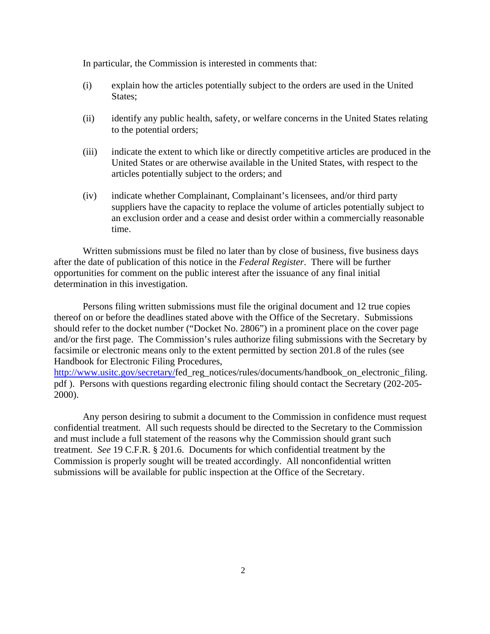In particular, the Commission is interested in comments that:

- (i) explain how the articles potentially subject to the orders are used in the United States;
- (ii) identify any public health, safety, or welfare concerns in the United States relating to the potential orders;
- (iii) indicate the extent to which like or directly competitive articles are produced in the United States or are otherwise available in the United States, with respect to the articles potentially subject to the orders; and
- (iv) indicate whether Complainant, Complainant's licensees, and/or third party suppliers have the capacity to replace the volume of articles potentially subject to an exclusion order and a cease and desist order within a commercially reasonable time.

 Written submissions must be filed no later than by close of business, five business days after the date of publication of this notice in the *Federal Register*. There will be further opportunities for comment on the public interest after the issuance of any final initial determination in this investigation.

 Persons filing written submissions must file the original document and 12 true copies thereof on or before the deadlines stated above with the Office of the Secretary. Submissions should refer to the docket number ("Docket No. 2806") in a prominent place on the cover page and/or the first page. The Commission's rules authorize filing submissions with the Secretary by facsimile or electronic means only to the extent permitted by section 201.8 of the rules (see Handbook for Electronic Filing Procedures,

http://www.usitc.gov/secretary/fed\_reg\_notices/rules/documents/handbook\_on\_electronic\_filing. pdf ). Persons with questions regarding electronic filing should contact the Secretary (202-205- 2000).

 Any person desiring to submit a document to the Commission in confidence must request confidential treatment. All such requests should be directed to the Secretary to the Commission and must include a full statement of the reasons why the Commission should grant such treatment. *See* 19 C.F.R. § 201.6. Documents for which confidential treatment by the Commission is properly sought will be treated accordingly. All nonconfidential written submissions will be available for public inspection at the Office of the Secretary.